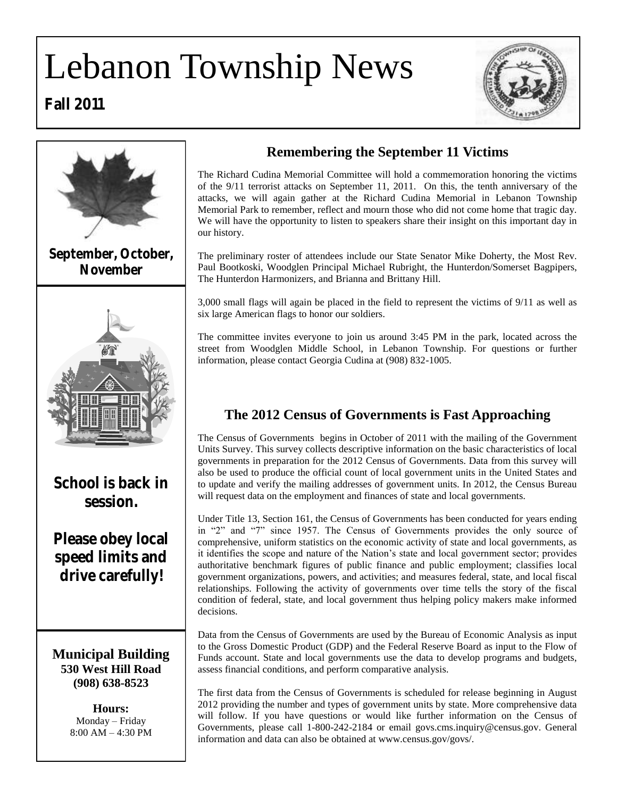# Lebanon Township News





**Fall 2011**

# **Remembering the September 11 Victims**

The Richard Cudina Memorial Committee will hold a commemoration honoring the victims of the 9/11 terrorist attacks on September 11, 2011. On this, the tenth anniversary of the attacks, we will again gather at the Richard Cudina Memorial in Lebanon Township Memorial Park to remember, reflect and mourn those who did not come home that tragic day. We will have the opportunity to listen to speakers share their insight on this important day in our history.

The preliminary roster of attendees include our State Senator Mike Doherty, the Most Rev. Paul Bootkoski, Woodglen Principal Michael Rubright, the Hunterdon/Somerset Bagpipers, The Hunterdon Harmonizers, and Brianna and Brittany Hill.

3,000 small flags will again be placed in the field to represent the victims of 9/11 as well as six large American flags to honor our soldiers.

The committee invites everyone to join us around 3:45 PM in the park, located across the street from Woodglen Middle School, in Lebanon Township. For questions or further information, please contact Georgia Cudina at (908) 832-1005.

# **The 2012 Census of Governments is Fast Approaching**

The Census of Governments begins in October of 2011 with the mailing of the Government Units Survey. This survey collects descriptive information on the basic characteristics of local governments in preparation for the 2012 Census of Governments. Data from this survey will also be used to produce the official count of local government units in the United States and to update and verify the mailing addresses of government units. In 2012, the Census Bureau will request data on the employment and finances of state and local governments.

Under Title 13, Section 161, the Census of Governments has been conducted for years ending in "2" and "7" since 1957. The Census of Governments provides the only source of comprehensive, uniform statistics on the economic activity of state and local governments, as it identifies the scope and nature of the Nation"s state and local government sector; provides authoritative benchmark figures of public finance and public employment; classifies local government organizations, powers, and activities; and measures federal, state, and local fiscal relationships. Following the activity of governments over time tells the story of the fiscal condition of federal, state, and local government thus helping policy makers make informed decisions.

Data from the Census of Governments are used by the Bureau of Economic Analysis as input to the Gross Domestic Product (GDP) and the Federal Reserve Board as input to the Flow of Funds account. State and local governments use the data to develop programs and budgets, assess financial conditions, and perform comparative analysis.

The first data from the Census of Governments is scheduled for release beginning in August 2012 providing the number and types of government units by state. More comprehensive data will follow. If you have questions or would like further information on the Census of Governments, please call 1-800-242-2184 or email govs.cms.inquiry@census.gov. General information and data can also be obtained at www.census.gov/govs/.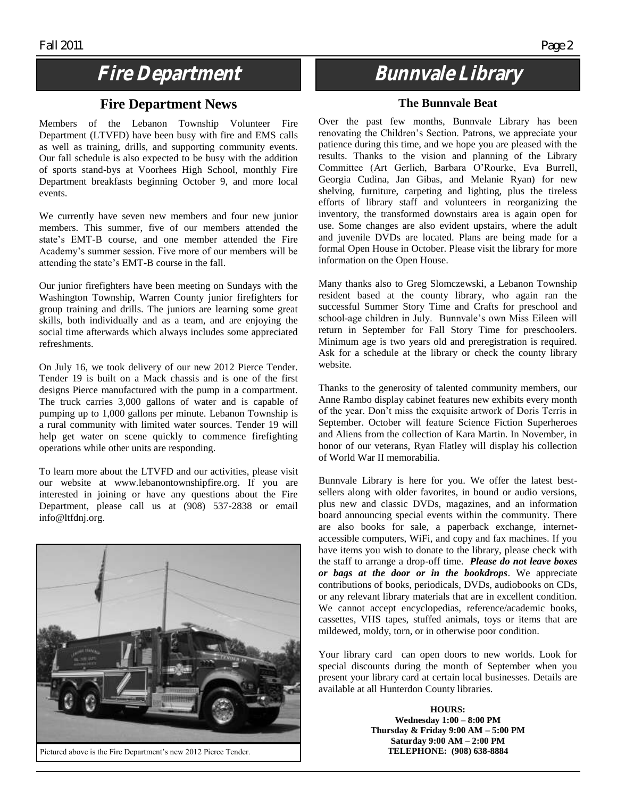# **Fire Department**

### **Fire Department News**

Members of the Lebanon Township Volunteer Fire Department (LTVFD) have been busy with fire and EMS calls as well as training, drills, and supporting community events. Our fall schedule is also expected to be busy with the addition of sports stand-bys at Voorhees High School, monthly Fire Department breakfasts beginning October 9, and more local events.

We currently have seven new members and four new junior members. This summer, five of our members attended the state's EMT-B course, and one member attended the Fire Academy"s summer session. Five more of our members will be attending the state"s EMT-B course in the fall.

Our junior firefighters have been meeting on Sundays with the Washington Township, Warren County junior firefighters for group training and drills. The juniors are learning some great skills, both individually and as a team, and are enjoying the social time afterwards which always includes some appreciated refreshments.

On July 16, we took delivery of our new 2012 Pierce Tender. Tender 19 is built on a Mack chassis and is one of the first designs Pierce manufactured with the pump in a compartment. The truck carries 3,000 gallons of water and is capable of pumping up to 1,000 gallons per minute. Lebanon Township is a rural community with limited water sources. Tender 19 will help get water on scene quickly to commence firefighting operations while other units are responding.

To learn more about the LTVFD and our activities, please visit our website at www.lebanontownshipfire.org. If you are interested in joining or have any questions about the Fire Department, please call us at (908) 537-2838 or email info@ltfdnj.org.



**Bunnvale Library**

#### **The Bunnvale Beat**

Over the past few months, Bunnvale Library has been renovating the Children"s Section. Patrons, we appreciate your patience during this time, and we hope you are pleased with the results. Thanks to the vision and planning of the Library Committee (Art Gerlich, Barbara O"Rourke, Eva Burrell, Georgia Cudina, Jan Gibas, and Melanie Ryan) for new shelving, furniture, carpeting and lighting, plus the tireless efforts of library staff and volunteers in reorganizing the inventory, the transformed downstairs area is again open for use. Some changes are also evident upstairs, where the adult and juvenile DVDs are located. Plans are being made for a formal Open House in October. Please visit the library for more information on the Open House.

Many thanks also to Greg Slomczewski, a Lebanon Township resident based at the county library, who again ran the successful Summer Story Time and Crafts for preschool and school-age children in July. Bunnvale"s own Miss Eileen will return in September for Fall Story Time for preschoolers. Minimum age is two years old and preregistration is required. Ask for a schedule at the library or check the county library website.

Thanks to the generosity of talented community members, our Anne Rambo display cabinet features new exhibits every month of the year. Don"t miss the exquisite artwork of Doris Terris in September. October will feature Science Fiction Superheroes and Aliens from the collection of Kara Martin. In November, in honor of our veterans, Ryan Flatley will display his collection of World War II memorabilia.

Bunnvale Library is here for you. We offer the latest bestsellers along with older favorites, in bound or audio versions, plus new and classic DVDs, magazines, and an information board announcing special events within the community. There are also books for sale, a paperback exchange, internetaccessible computers, WiFi, and copy and fax machines. If you have items you wish to donate to the library, please check with the staff to arrange a drop-off time. *Please do not leave boxes or bags at the door or in the bookdrops*. We appreciate contributions of books, periodicals, DVDs, audiobooks on CDs, or any relevant library materials that are in excellent condition. We cannot accept encyclopedias, reference/academic books, cassettes, VHS tapes, stuffed animals, toys or items that are mildewed, moldy, torn, or in otherwise poor condition.

Your library card can open doors to new worlds. Look for special discounts during the month of September when you present your library card at certain local businesses. Details are available at all Hunterdon County libraries.

> **HOURS: Wednesday 1:00 – 8:00 PM Thursday & Friday 9:00 AM – 5:00 PM Saturday 9:00 AM – 2:00 PM TELEPHONE: (908) 638-8884**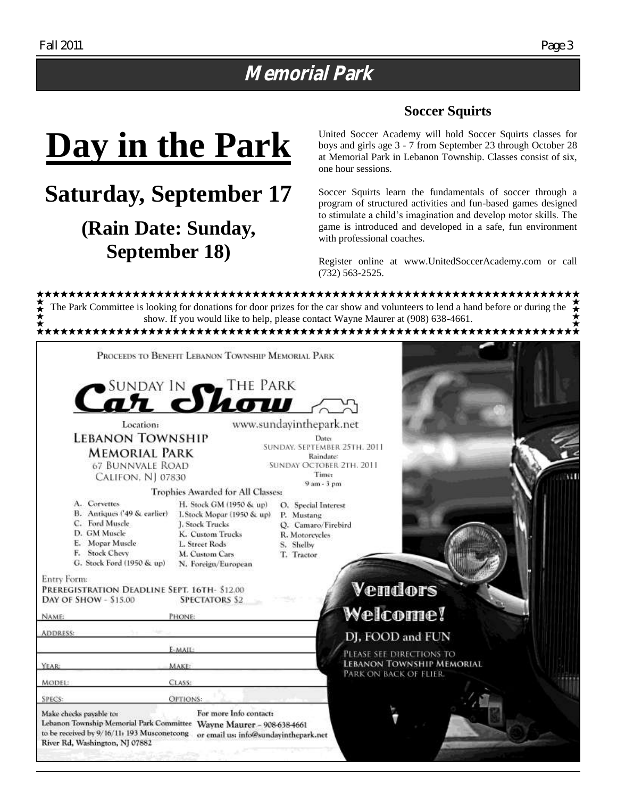# **Memorial Park**

### **Soccer Squirts**

# **Day in the Park**

**Saturday, September 17**

# **(Rain Date: Sunday, September 18)**

United Soccer Academy will hold Soccer Squirts classes for boys and girls age 3 - 7 from September 23 through October 28 at Memorial Park in Lebanon Township. Classes consist of six, one hour sessions.

Soccer Squirts learn the fundamentals of soccer through a program of structured activities and fun-based games designed to stimulate a child"s imagination and develop motor skills. The game is introduced and developed in a safe, fun environment with professional coaches.

Register online at www.UnitedSoccerAcademy.com or call (732) 563-2525.

The Park Committee is looking for donations for door prizes for the car show and volunteers to lend a hand before or during the <del>∕★</del>★★ show. If you would like to help, please contact Wayne Maurer at (908) 638-4661.

|                                                                                                                                                                                                                        | PROCEEDS TO BENEFIT LEBANON TOWNSHIP MEMORIAL PARK                                                                                                      |                                                                                                      |                                                                                        |  |
|------------------------------------------------------------------------------------------------------------------------------------------------------------------------------------------------------------------------|---------------------------------------------------------------------------------------------------------------------------------------------------------|------------------------------------------------------------------------------------------------------|----------------------------------------------------------------------------------------|--|
|                                                                                                                                                                                                                        | Car Show IN                                                                                                                                             |                                                                                                      |                                                                                        |  |
| Location:                                                                                                                                                                                                              |                                                                                                                                                         | www.sundayinthepark.net                                                                              |                                                                                        |  |
| <b>LEBANON TOWNSHIP</b><br><b>MEMORIAL PARK</b><br><b>67 BUNNVALE ROAD</b>                                                                                                                                             |                                                                                                                                                         | Dater<br>SUNDAY. SEPTEMBER 25TH. 2011<br>Raindate:<br><b>SUNDAY OCTOBER 2TH, 2011</b>                |                                                                                        |  |
| <b>CALIFON, NJ 07830</b>                                                                                                                                                                                               |                                                                                                                                                         | <b>Time:</b><br>$9am - 3pm$                                                                          |                                                                                        |  |
|                                                                                                                                                                                                                        | <b>Trophies Awarded for All Classes:</b>                                                                                                                |                                                                                                      |                                                                                        |  |
| A. Corvettes<br>B. Antiques ('49 & earlier)<br>C. Ford Muscle<br>D. GM Muscle<br>E. Mopar Muscle<br>F. Stock Chevy<br>G. Stock Ford (1950 & up)                                                                        | H. Stock GM (1950 & up)<br>I. Stock Mopar (1950 & up)<br>J. Stock Trucks<br>K. Custom Trucks<br>L. Street Rods<br>M. Custom Cars<br>N. Foreign/European | O. Special Interest<br>P. Mustang<br>O. Camaro/Firebird<br>R. Motorcycles<br>S. Shelby<br>T. Tractor |                                                                                        |  |
| Entry Form:<br>PREREGISTRATION DEADLINE SEPT. 16TH- \$12.00<br>DAY OF SHOW - \$15.00                                                                                                                                   | <b>SPECTATORS \$2</b>                                                                                                                                   |                                                                                                      | Vendors                                                                                |  |
| NAME:                                                                                                                                                                                                                  | PHONE:                                                                                                                                                  |                                                                                                      | <b>Welcome!</b>                                                                        |  |
| <b>ADDRESS:</b>                                                                                                                                                                                                        |                                                                                                                                                         |                                                                                                      | DJ, FOOD and FUN                                                                       |  |
|                                                                                                                                                                                                                        | E-MAIL:                                                                                                                                                 |                                                                                                      |                                                                                        |  |
| YEAR:                                                                                                                                                                                                                  | <b>MAKE:</b>                                                                                                                                            |                                                                                                      | PLEASE SEE DIRECTIONS TO<br><b>LEBANON TOWNSHIP MEMORIAL</b><br>PARK ON BACK OF FLIER. |  |
| MODEL:                                                                                                                                                                                                                 | CLASS:                                                                                                                                                  |                                                                                                      |                                                                                        |  |
| <b>SPECS:</b>                                                                                                                                                                                                          | OPTIONS:                                                                                                                                                |                                                                                                      |                                                                                        |  |
| Make checks payable to:<br>Lebanon Township Memorial Park Committee Wayne Maurer - 908-638-4661<br>to be received by 9/16/11: 193 Musconetcong or email us: info@sundayinthepark.net<br>River Rd, Washington, NJ 07882 | For more Info contact:                                                                                                                                  |                                                                                                      |                                                                                        |  |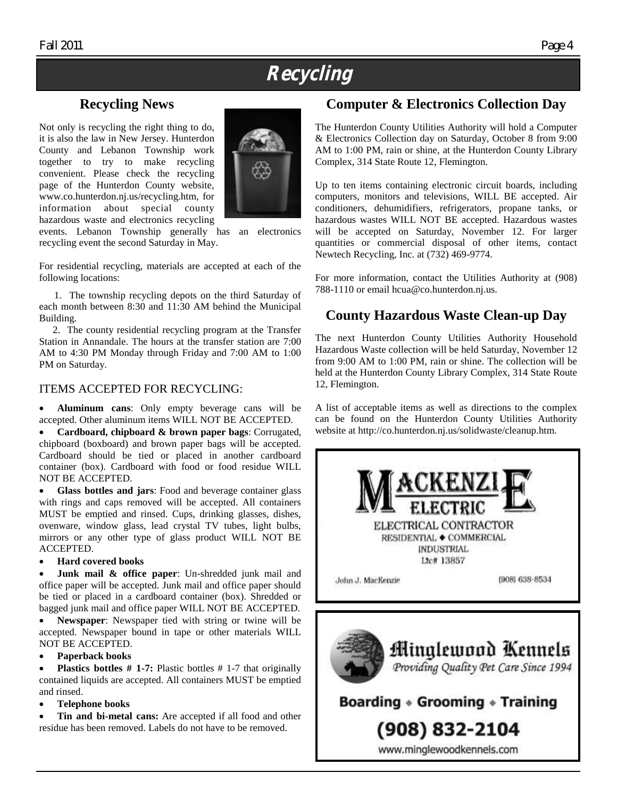# **Recycling**

## **Recycling News**

Not only is recycling the right thing to do, it is also the law in New Jersey. Hunterdon County and Lebanon Township work together to try to make recycling convenient. Please check the recycling page of the Hunterdon County website, www.co.hunterdon.nj.us/recycling.htm, for information about special county hazardous waste and electronics recycling



events. Lebanon Township generally has an electronics recycling event the second Saturday in May.

For residential recycling, materials are accepted at each of the following locations:

 1. The township recycling depots on the third Saturday of each month between 8:30 and 11:30 AM behind the Municipal Building.

 2. The county residential recycling program at the Transfer Station in Annandale. The hours at the transfer station are 7:00 AM to 4:30 PM Monday through Friday and 7:00 AM to 1:00 PM on Saturday.

#### ITEMS ACCEPTED FOR RECYCLING:

 **Aluminum cans**: Only empty beverage cans will be accepted. Other aluminum items WILL NOT BE ACCEPTED.

 **Cardboard, chipboard & brown paper bags**: Corrugated, chipboard (boxboard) and brown paper bags will be accepted. Cardboard should be tied or placed in another cardboard container (box). Cardboard with food or food residue WILL NOT BE ACCEPTED.

 **Glass bottles and jars**: Food and beverage container glass with rings and caps removed will be accepted. All containers MUST be emptied and rinsed. Cups, drinking glasses, dishes, ovenware, window glass, lead crystal TV tubes, light bulbs, mirrors or any other type of glass product WILL NOT BE ACCEPTED.

#### **Hard covered books**

 **Junk mail & office paper**: Un-shredded junk mail and office paper will be accepted. Junk mail and office paper should be tied or placed in a cardboard container (box). Shredded or bagged junk mail and office paper WILL NOT BE ACCEPTED.

 **Newspaper**: Newspaper tied with string or twine will be accepted. Newspaper bound in tape or other materials WILL NOT BE ACCEPTED.

#### **Paperback books**

 **Plastics bottles # 1-7:** Plastic bottles # 1-7 that originally contained liquids are accepted. All containers MUST be emptied and rinsed.

#### **Telephone books**

 **Tin and bi-metal cans:** Are accepted if all food and other residue has been removed. Labels do not have to be removed.

### **Computer & Electronics Collection Day**

The Hunterdon County Utilities Authority will hold a Computer & Electronics Collection day on Saturday, October 8 from 9:00 AM to 1:00 PM, rain or shine, at the Hunterdon County Library Complex, 314 State Route 12, Flemington.

Up to ten items containing electronic circuit boards, including computers, monitors and televisions, WILL BE accepted. Air conditioners, dehumidifiers, refrigerators, propane tanks, or hazardous wastes WILL NOT BE accepted. Hazardous wastes will be accepted on Saturday, November 12. For larger quantities or commercial disposal of other items, contact Newtech Recycling, Inc. at (732) 469-9774.

For more information, contact the Utilities Authority at (908) 788-1110 or email hcua@co.hunterdon.nj.us.

### **County Hazardous Waste Clean-up Day**

The next Hunterdon County Utilities Authority Household Hazardous Waste collection will be held Saturday, November 12 from 9:00 AM to 1:00 PM, rain or shine. The collection will be held at the Hunterdon County Library Complex, 314 State Route 12, Flemington.

A list of acceptable items as well as directions to the complex can be found on the Hunterdon County Utilities Authority website at http://co.hunterdon.nj.us/solidwaste/cleanup.htm.



www.minglewoodkennels.com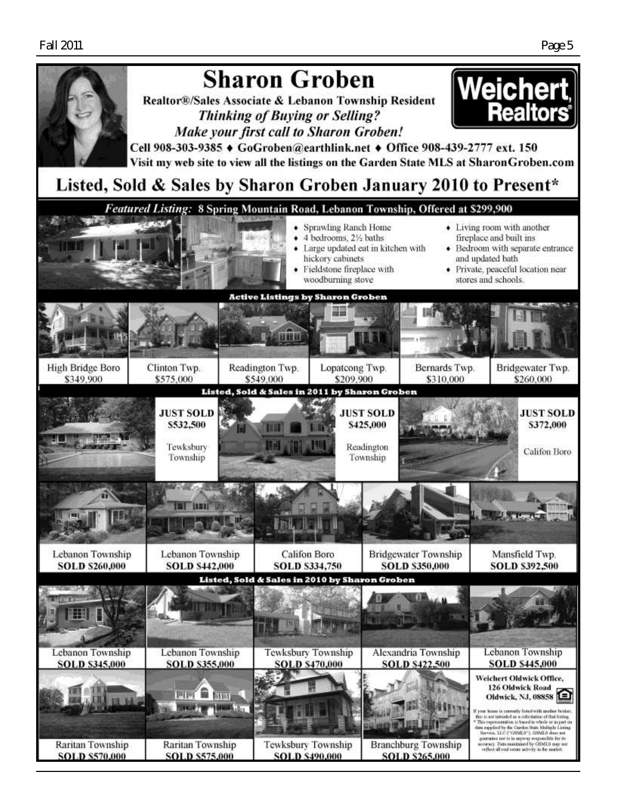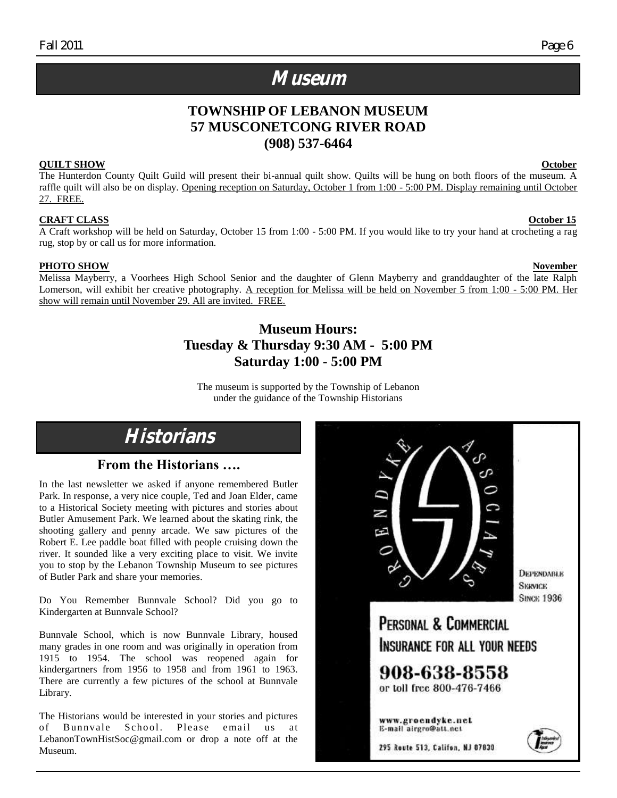# **Museum**

## **TOWNSHIP OF LEBANON MUSEUM 57 MUSCONETCONG RIVER ROAD (908) 537-6464**

#### **QUILT SHOW October**

The Hunterdon County Quilt Guild will present their bi-annual quilt show. Quilts will be hung on both floors of the museum. A raffle quilt will also be on display. Opening reception on Saturday, October 1 from 1:00 - 5:00 PM. Display remaining until October 27. FREE.

#### **CRAFT CLASS October 15**

A Craft workshop will be held on Saturday, October 15 from 1:00 - 5:00 PM. If you would like to try your hand at crocheting a rag rug, stop by or call us for more information.

#### **PHOTO SHOW November**

Melissa Mayberry, a Voorhees High School Senior and the daughter of Glenn Mayberry and granddaughter of the late Ralph Lomerson, will exhibit her creative photography. A reception for Melissa will be held on November 5 from 1:00 - 5:00 PM. Her show will remain until November 29. All are invited. FREE.

### **Museum Hours: Tuesday & Thursday 9:30 AM - 5:00 PM Saturday 1:00 - 5:00 PM**

The museum is supported by the Township of Lebanon under the guidance of the Township Historians

# **Historians**

### **From the Historians ….**

In the last newsletter we asked if anyone remembered Butler Park. In response, a very nice couple, Ted and Joan Elder, came to a Historical Society meeting with pictures and stories about Butler Amusement Park. We learned about the skating rink, the shooting gallery and penny arcade. We saw pictures of the Robert E. Lee paddle boat filled with people cruising down the river. It sounded like a very exciting place to visit. We invite you to stop by the Lebanon Township Museum to see pictures of Butler Park and share your memories.

Do You Remember Bunnvale School? Did you go to Kindergarten at Bunnvale School?

Bunnvale School, which is now Bunnvale Library, housed many grades in one room and was originally in operation from 1915 to 1954. The school was reopened again for kindergartners from 1956 to 1958 and from 1961 to 1963. There are currently a few pictures of the school at Bunnvale Library.

The Historians would be interested in your stories and pictures of Bunnvale School. Please email us at LebanonTownHistSoc@gmail.com or drop a note off at the Museum.

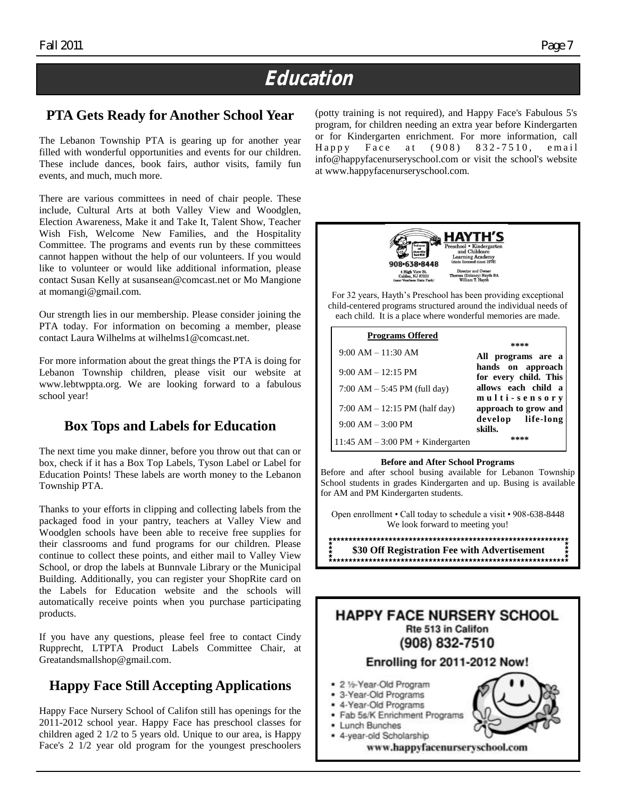# **Education**

# **PTA Gets Ready for Another School Year**

The Lebanon Township PTA is gearing up for another year filled with wonderful opportunities and events for our children. These include dances, book fairs, author visits, family fun events, and much, much more.

There are various committees in need of chair people. These include, Cultural Arts at both Valley View and Woodglen, Election Awareness, Make it and Take It, Talent Show, Teacher Wish Fish, Welcome New Families, and the Hospitality Committee. The programs and events run by these committees cannot happen without the help of our volunteers. If you would like to volunteer or would like additional information, please contact Susan Kelly at susansean@comcast.net or Mo Mangione at momangi@gmail.com.

Our strength lies in our membership. Please consider joining the PTA today. For information on becoming a member, please contact Laura Wilhelms at wilhelms1@comcast.net.

For more information about the great things the PTA is doing for Lebanon Township children, please visit our website at www.lebtwppta.org. We are looking forward to a fabulous school year!

# **Box Tops and Labels for Education**

The next time you make dinner, before you throw out that can or box, check if it has a Box Top Labels, Tyson Label or Label for Education Points! These labels are worth money to the Lebanon Township PTA.

Thanks to your efforts in clipping and collecting labels from the packaged food in your pantry, teachers at Valley View and Woodglen schools have been able to receive free supplies for their classrooms and fund programs for our children. Please continue to collect these points, and either mail to Valley View School, or drop the labels at Bunnvale Library or the Municipal Building. Additionally, you can register your ShopRite card on the Labels for Education website and the schools will automatically receive points when you purchase participating products.

If you have any questions, please feel free to contact Cindy Rupprecht, LTPTA Product Labels Committee Chair, at Greatandsmallshop@gmail.com.

# **Happy Face Still Accepting Applications**

Happy Face Nursery School of Califon still has openings for the 2011-2012 school year. Happy Face has preschool classes for children aged 2 1/2 to 5 years old. Unique to our area, is Happy Face's 2 1/2 year old program for the youngest preschoolers (potty training is not required), and Happy Face's Fabulous 5's program, for children needing an extra year before Kindergarten or for Kindergarten enrichment. For more information, call  $H$ appy Face at  $(908)$  832-7510, email info@happyfacenurseryschool.com or visit the school's website at www.happyfacenurseryschool.com.



For 32 years, Hayth"s Preschool has been providing exceptional child-centered programs structured around the individual needs of each child. It is a place where wonderful memories are made.

| <b>Programs Offered</b>                |                                            |
|----------------------------------------|--------------------------------------------|
| $9:00 AM - 11:30 AM$                   | ****<br>All programs are a                 |
| $9:00 AM - 12:15 PM$                   | hands on approach<br>for every child. This |
| 7:00 AM $-$ 5:45 PM (full day)         | allows each child a<br>multi-sensory       |
| 7:00 AM $- 12:15$ PM (half day)        | approach to grow and                       |
| $9:00 AM - 3:00 PM$                    | develop life-long<br>skills.               |
| $11:45$ AM $-3:00$ PM $+$ Kindergarten |                                            |

#### **Before and After School Programs**

Before and after school busing available for Lebanon Township School students in grades Kindergarten and up. Busing is available for AM and PM Kindergarten students.

Open enrollment • Call today to schedule a visit • 908-638-8448 We look forward to meeting you!

**\$30 Off Registration Fee with Advertisement**

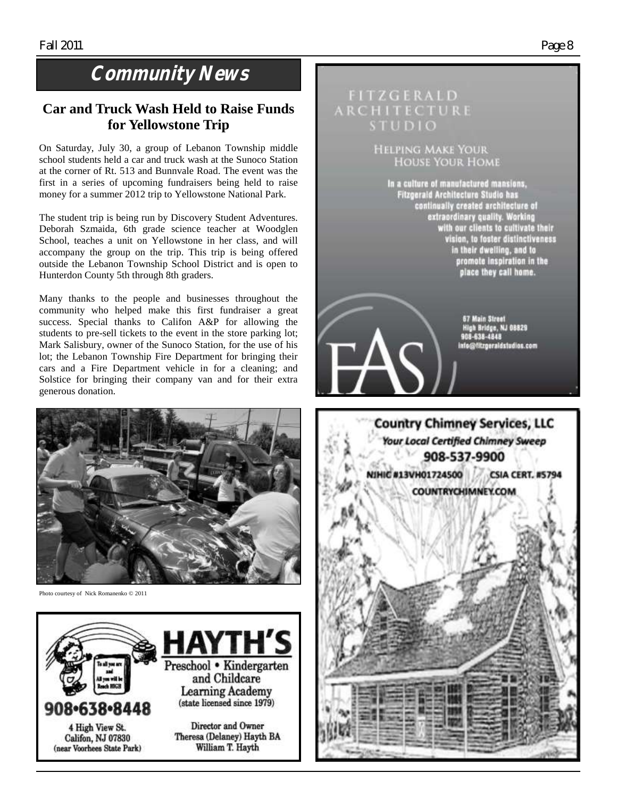# **Community News**

### **Car and Truck Wash Held to Raise Funds for Yellowstone Trip**

On Saturday, July 30, a group of Lebanon Township middle school students held a car and truck wash at the Sunoco Station at the corner of Rt. 513 and Bunnvale Road. The event was the first in a series of upcoming fundraisers being held to raise money for a summer 2012 trip to Yellowstone National Park.

The student trip is being run by Discovery Student Adventures. Deborah Szmaida, 6th grade science teacher at Woodglen School, teaches a unit on Yellowstone in her class, and will accompany the group on the trip. This trip is being offered outside the Lebanon Township School District and is open to Hunterdon County 5th through 8th graders.

Many thanks to the people and businesses throughout the community who helped make this first fundraiser a great success. Special thanks to Califon A&P for allowing the students to pre-sell tickets to the event in the store parking lot; Mark Salisbury, owner of the Sunoco Station, for the use of his lot; the Lebanon Township Fire Department for bringing their cars and a Fire Department vehicle in for a cleaning; and Solstice for bringing their company van and for their extra generous donation.



Photo courtesy of Nick Romanenko © 2011



# **FITZGERALD** ARCHITECTURE **STUDIO HELPING MAKE YOUR HOUSE YOUR HOME** In a culture of manufactured mansions, Fitzgerald Architecture Studio has peraid Architecture Studio has<br>continually created architecture of<br>extraordinary quality. Working<br>with our clients to cultivate their<br>vision, to foster distinctiveness<br>in their dwelling, and to<br>promote inspiration in the<br>p place they call home. e, NJ 68829 638-4848 info@fitzgeraldstudios.com **Country Chimney Services, LLC Your Local Certified Chimney Sweep** 908-537-9900 NIHIC #13VH01724500 **CSIA CERT, #5794 COUNTRYCHIMNEY.COM**

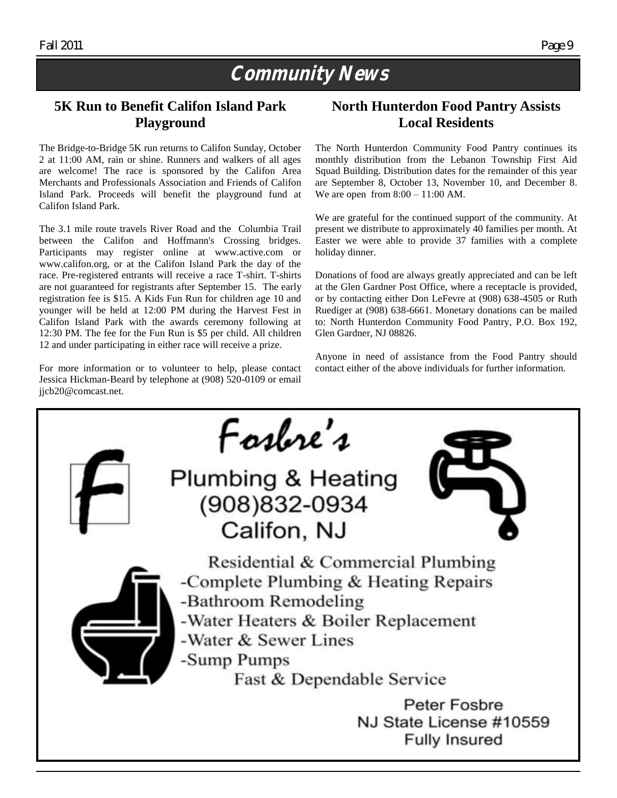# **Community News**

## **5K Run to Benefit Califon Island Park Playground**

The Bridge-to-Bridge 5K run returns to Califon Sunday, October 2 at 11:00 AM, rain or shine. Runners and walkers of all ages are welcome! The race is sponsored by the Califon Area Merchants and Professionals Association and Friends of Califon Island Park. Proceeds will benefit the playground fund at Califon Island Park.

The 3.1 mile route travels River Road and the Columbia Trail between the Califon and Hoffmann's Crossing bridges. Participants may register online at www.active.com or www.califon.org, or at the Califon Island Park the day of the race. Pre-registered entrants will receive a race T-shirt. T-shirts are not guaranteed for registrants after September 15. The early registration fee is \$15. A Kids Fun Run for children age 10 and younger will be held at 12:00 PM during the Harvest Fest in Califon Island Park with the awards ceremony following at 12:30 PM. The fee for the Fun Run is \$5 per child. All children 12 and under participating in either race will receive a prize.

For more information or to volunteer to help, please contact Jessica Hickman-Beard by telephone at (908) 520-0109 or email jjcb20@comcast.net.

## **North Hunterdon Food Pantry Assists Local Residents**

The North Hunterdon Community Food Pantry continues its monthly distribution from the Lebanon Township First Aid Squad Building. Distribution dates for the remainder of this year are September 8, October 13, November 10, and December 8. We are open from 8:00 – 11:00 AM.

We are grateful for the continued support of the community. At present we distribute to approximately 40 families per month. At Easter we were able to provide 37 families with a complete holiday dinner.

Donations of food are always greatly appreciated and can be left at the Glen Gardner Post Office, where a receptacle is provided, or by contacting either Don LeFevre at (908) 638-4505 or Ruth Ruediger at (908) 638-6661. Monetary donations can be mailed to: North Hunterdon Community Food Pantry, P.O. Box 192, Glen Gardner, NJ 08826.

Anyone in need of assistance from the Food Pantry should contact either of the above individuals for further information.

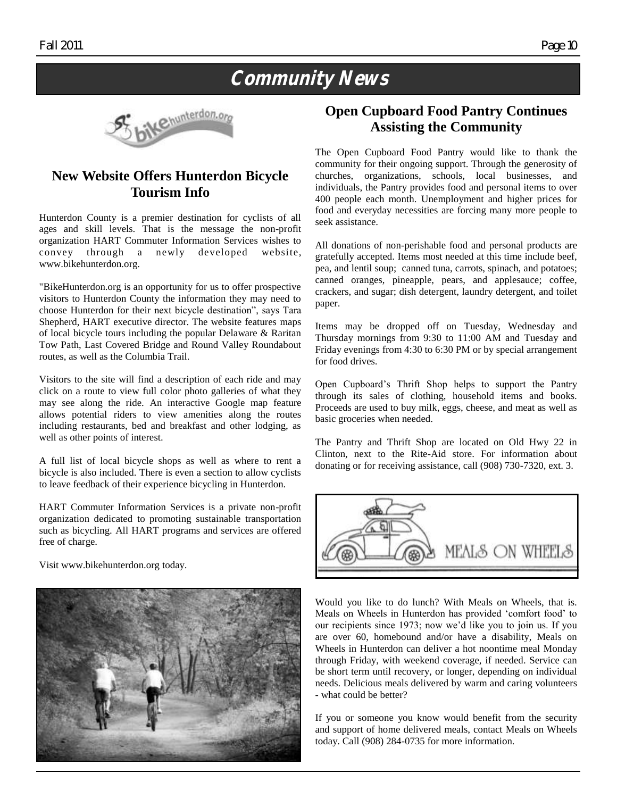# **Community News**



## **New Website Offers Hunterdon Bicycle Tourism Info**

Hunterdon County is a premier destination for cyclists of all ages and skill levels. That is the message the non-profit organization HART Commuter Information Services wishes to convey through a newly developed website, www.bikehunterdon.org.

"BikeHunterdon.org is an opportunity for us to offer prospective visitors to Hunterdon County the information they may need to choose Hunterdon for their next bicycle destination", says Tara Shepherd, HART executive director. The website features maps of local bicycle tours including the popular Delaware & Raritan Tow Path, Last Covered Bridge and Round Valley Roundabout routes, as well as the Columbia Trail.

Visitors to the site will find a description of each ride and may click on a route to view full color photo galleries of what they may see along the ride. An interactive Google map feature allows potential riders to view amenities along the routes including restaurants, bed and breakfast and other lodging, as well as other points of interest.

A full list of local bicycle shops as well as where to rent a bicycle is also included. There is even a section to allow cyclists to leave feedback of their experience bicycling in Hunterdon.

HART Commuter Information Services is a private non-profit organization dedicated to promoting sustainable transportation such as bicycling. All HART programs and services are offered free of charge.

Visit www.bikehunterdon.org today.



### **Open Cupboard Food Pantry Continues Assisting the Community**

The Open Cupboard Food Pantry would like to thank the community for their ongoing support. Through the generosity of churches, organizations, schools, local businesses, and individuals, the Pantry provides food and personal items to over 400 people each month. Unemployment and higher prices for food and everyday necessities are forcing many more people to seek assistance.

All donations of non-perishable food and personal products are gratefully accepted. Items most needed at this time include beef, pea, and lentil soup; canned tuna, carrots, spinach, and potatoes; canned oranges, pineapple, pears, and applesauce; coffee, crackers, and sugar; dish detergent, laundry detergent, and toilet paper.

Items may be dropped off on Tuesday, Wednesday and Thursday mornings from 9:30 to 11:00 AM and Tuesday and Friday evenings from 4:30 to 6:30 PM or by special arrangement for food drives.

Open Cupboard"s Thrift Shop helps to support the Pantry through its sales of clothing, household items and books. Proceeds are used to buy milk, eggs, cheese, and meat as well as basic groceries when needed.

The Pantry and Thrift Shop are located on Old Hwy 22 in Clinton, next to the Rite-Aid store. For information about donating or for receiving assistance, call (908) 730-7320, ext. 3.



Would you like to do lunch? With Meals on Wheels, that is. Meals on Wheels in Hunterdon has provided "comfort food" to our recipients since 1973; now we"d like you to join us. If you are over 60, homebound and/or have a disability, Meals on Wheels in Hunterdon can deliver a hot noontime meal Monday through Friday, with weekend coverage, if needed. Service can be short term until recovery, or longer, depending on individual needs. Delicious meals delivered by warm and caring volunteers - what could be better?

If you or someone you know would benefit from the security and support of home delivered meals, contact Meals on Wheels today. Call (908) 284-0735 for more information.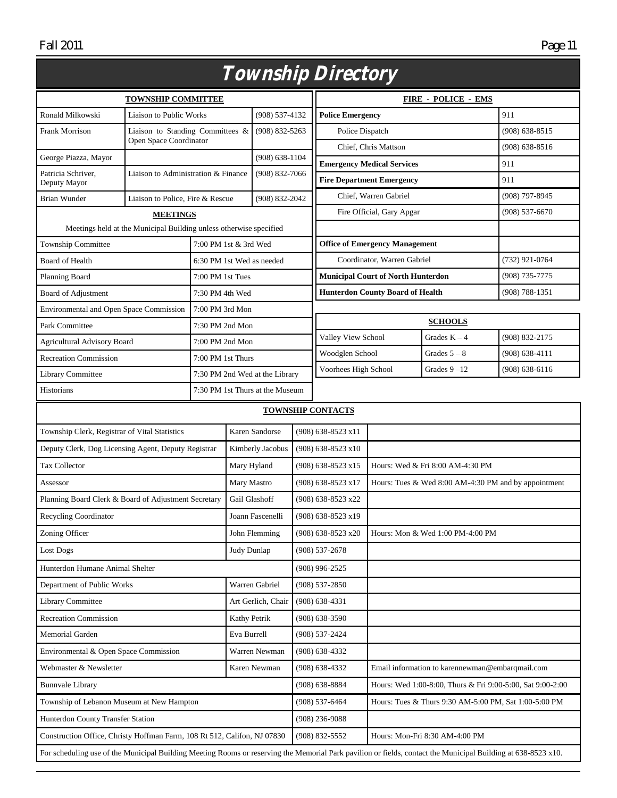|                                                                                                                                                               |                                                                          |                           |                       |                                                                                  |                                                        | <i>Township Directory</i>         |                                           |                                                      |                    |
|---------------------------------------------------------------------------------------------------------------------------------------------------------------|--------------------------------------------------------------------------|---------------------------|-----------------------|----------------------------------------------------------------------------------|--------------------------------------------------------|-----------------------------------|-------------------------------------------|------------------------------------------------------|--------------------|
| <b>TOWNSHIP COMMITTEE</b>                                                                                                                                     |                                                                          |                           |                       |                                                                                  |                                                        | <b>FIRE - POLICE - EMS</b>        |                                           |                                                      |                    |
| Ronald Milkowski                                                                                                                                              | <b>Liaison to Public Works</b>                                           |                           |                       | $(908) 537 - 4132$                                                               |                                                        | <b>Police Emergency</b>           |                                           | 911                                                  |                    |
| <b>Frank Morrison</b>                                                                                                                                         | Liaison to Standing Committees &                                         |                           |                       | $(908) 832 - 5263$                                                               |                                                        |                                   | Police Dispatch                           |                                                      | $(908) 638 - 8515$ |
|                                                                                                                                                               | Open Space Coordinator                                                   |                           |                       |                                                                                  |                                                        |                                   | Chief, Chris Mattson                      |                                                      | $(908) 638 - 8516$ |
| George Piazza, Mayor                                                                                                                                          |                                                                          |                           |                       | $(908) 638 - 1104$                                                               |                                                        | <b>Emergency Medical Services</b> |                                           |                                                      | 911                |
| Patricia Schriver.<br>Deputy Mayor                                                                                                                            | Liaison to Administration & Finance                                      |                           |                       | $(908)$ 832-7066                                                                 |                                                        | <b>Fire Department Emergency</b>  |                                           | 911                                                  |                    |
| Brian Wunder<br>Liaison to Police, Fire & Rescue                                                                                                              |                                                                          | (908) 832-2042            |                       | Chief, Warren Gabriel                                                            |                                                        | (908) 797-8945                    |                                           |                                                      |                    |
|                                                                                                                                                               | <b>MEETINGS</b>                                                          |                           |                       |                                                                                  |                                                        | Fire Official, Gary Apgar         |                                           | $(908) 537 - 6670$                                   |                    |
| Meetings held at the Municipal Building unless otherwise specified                                                                                            |                                                                          |                           |                       |                                                                                  |                                                        |                                   |                                           |                                                      |                    |
| <b>Township Committee</b>                                                                                                                                     |                                                                          |                           | 7:00 PM 1st & 3rd Wed |                                                                                  | <b>Office of Emergency Management</b>                  |                                   |                                           |                                                      |                    |
| <b>Board of Health</b>                                                                                                                                        |                                                                          | 6:30 PM 1st Wed as needed |                       |                                                                                  |                                                        | Coordinator, Warren Gabriel       |                                           |                                                      | (732) 921-0764     |
| Planning Board                                                                                                                                                |                                                                          | 7:00 PM 1st Tues          |                       |                                                                                  |                                                        |                                   | <b>Municipal Court of North Hunterdon</b> |                                                      | (908) 735-7775     |
| Board of Adjustment                                                                                                                                           |                                                                          | 7:30 PM 4th Wed           |                       |                                                                                  |                                                        |                                   | <b>Hunterdon County Board of Health</b>   |                                                      | $(908) 788 - 1351$ |
| Environmental and Open Space Commission                                                                                                                       |                                                                          | 7:00 PM 3rd Mon           |                       |                                                                                  |                                                        |                                   |                                           |                                                      |                    |
| Park Committee                                                                                                                                                |                                                                          | 7:30 PM 2nd Mon           |                       |                                                                                  |                                                        |                                   |                                           | <b>SCHOOLS</b>                                       |                    |
| <b>Agricultural Advisory Board</b>                                                                                                                            |                                                                          | 7:00 PM 2nd Mon           |                       |                                                                                  |                                                        | Valley View School                |                                           | Grades $K - 4$                                       | (908) 832-2175     |
| <b>Recreation Commission</b>                                                                                                                                  |                                                                          | 7:00 PM 1st Thurs         |                       |                                                                                  | Woodglen School                                        |                                   |                                           | Grades $5 - 8$                                       | $(908) 638 - 4111$ |
| Library Committee                                                                                                                                             |                                                                          |                           |                       | 7:30 PM 2nd Wed at the Library                                                   | Voorhees High School                                   |                                   |                                           | Grades $9 - 12$                                      | $(908) 638 - 6116$ |
| Historians<br>7:30 PM 1st Thurs at the Museum                                                                                                                 |                                                                          |                           |                       |                                                                                  |                                                        |                                   |                                           |                                                      |                    |
| <b>TOWNSHIP CONTACTS</b>                                                                                                                                      |                                                                          |                           |                       |                                                                                  |                                                        |                                   |                                           |                                                      |                    |
| Karen Sandorse<br>Township Clerk, Registrar of Vital Statistics                                                                                               |                                                                          |                           |                       | (908) 638-8523 x11                                                               |                                                        |                                   |                                           |                                                      |                    |
| Deputy Clerk, Dog Licensing Agent, Deputy Registrar                                                                                                           |                                                                          |                           | Kimberly Jacobus      |                                                                                  | $(908)$ 638-8523 x10                                   |                                   |                                           |                                                      |                    |
| Tax Collector                                                                                                                                                 |                                                                          | Mary Hyland               |                       |                                                                                  | (908) 638-8523 x15<br>Hours: Wed & Fri 8:00 AM-4:30 PM |                                   |                                           |                                                      |                    |
| Assessor                                                                                                                                                      |                                                                          |                           | Mary Mastro           |                                                                                  | (908) 638-8523 x17                                     |                                   |                                           | Hours: Tues & Wed 8:00 AM-4:30 PM and by appointment |                    |
| Planning Board Clerk & Board of Adjustment Secretary                                                                                                          |                                                                          | Gail Glashoff             |                       | (908) 638-8523 x22                                                               |                                                        |                                   |                                           |                                                      |                    |
| Recycling Coordinator                                                                                                                                         |                                                                          |                           | Joann Fascenelli      | (908) 638-8523 x19                                                               |                                                        |                                   |                                           |                                                      |                    |
| Zoning Officer                                                                                                                                                |                                                                          |                           |                       | John Flemming                                                                    | $(908)$ 638-8523 x20                                   |                                   | Hours: Mon & Wed 1:00 PM-4:00 PM          |                                                      |                    |
| Lost Dogs                                                                                                                                                     |                                                                          | Judy Dunlap               | $(908) 537 - 2678$    |                                                                                  |                                                        |                                   |                                           |                                                      |                    |
| Hunterdon Humane Animal Shelter                                                                                                                               |                                                                          |                           |                       | (908) 996-2525                                                                   |                                                        |                                   |                                           |                                                      |                    |
| Department of Public Works                                                                                                                                    |                                                                          |                           | Warren Gabriel        | $(908) 537 - 2850$                                                               |                                                        |                                   |                                           |                                                      |                    |
| Library Committee                                                                                                                                             |                                                                          |                           | Art Gerlich, Chair    | $(908)$ 638-4331                                                                 |                                                        |                                   |                                           |                                                      |                    |
| <b>Recreation Commission</b>                                                                                                                                  |                                                                          | Kathy Petrik              |                       | (908) 638-3590                                                                   |                                                        |                                   |                                           |                                                      |                    |
| Memorial Garden                                                                                                                                               |                                                                          | Eva Burrell               |                       | (908) 537-2424                                                                   |                                                        |                                   |                                           |                                                      |                    |
| Environmental & Open Space Commission                                                                                                                         |                                                                          |                           | Warren Newman         | $(908)$ 638-4332                                                                 |                                                        |                                   |                                           |                                                      |                    |
| Webmaster & Newsletter                                                                                                                                        |                                                                          | Karen Newman              | $(908) 638 - 4332$    |                                                                                  | Email information to karennewman@embarqmail.com        |                                   |                                           |                                                      |                    |
| <b>Bunnvale Library</b>                                                                                                                                       |                                                                          |                           |                       | $(908) 638 - 8884$<br>Hours: Wed 1:00-8:00, Thurs & Fri 9:00-5:00, Sat 9:00-2:00 |                                                        |                                   |                                           |                                                      |                    |
| Township of Lebanon Museum at New Hampton                                                                                                                     |                                                                          |                           |                       | $(908) 537 - 6464$<br>Hours: Tues & Thurs 9:30 AM-5:00 PM, Sat 1:00-5:00 PM      |                                                        |                                   |                                           |                                                      |                    |
| Hunterdon County Transfer Station                                                                                                                             |                                                                          |                           |                       | $(908)$ 236-9088                                                                 |                                                        |                                   |                                           |                                                      |                    |
|                                                                                                                                                               | Construction Office, Christy Hoffman Farm, 108 Rt 512, Califon, NJ 07830 |                           |                       |                                                                                  | (908) 832-5552                                         |                                   | Hours: Mon-Fri 8:30 AM-4:00 PM            |                                                      |                    |
| For scheduling use of the Municipal Building Meeting Rooms or reserving the Memorial Park pavilion or fields, contact the Municipal Building at 638-8523 x10. |                                                                          |                           |                       |                                                                                  |                                                        |                                   |                                           |                                                      |                    |